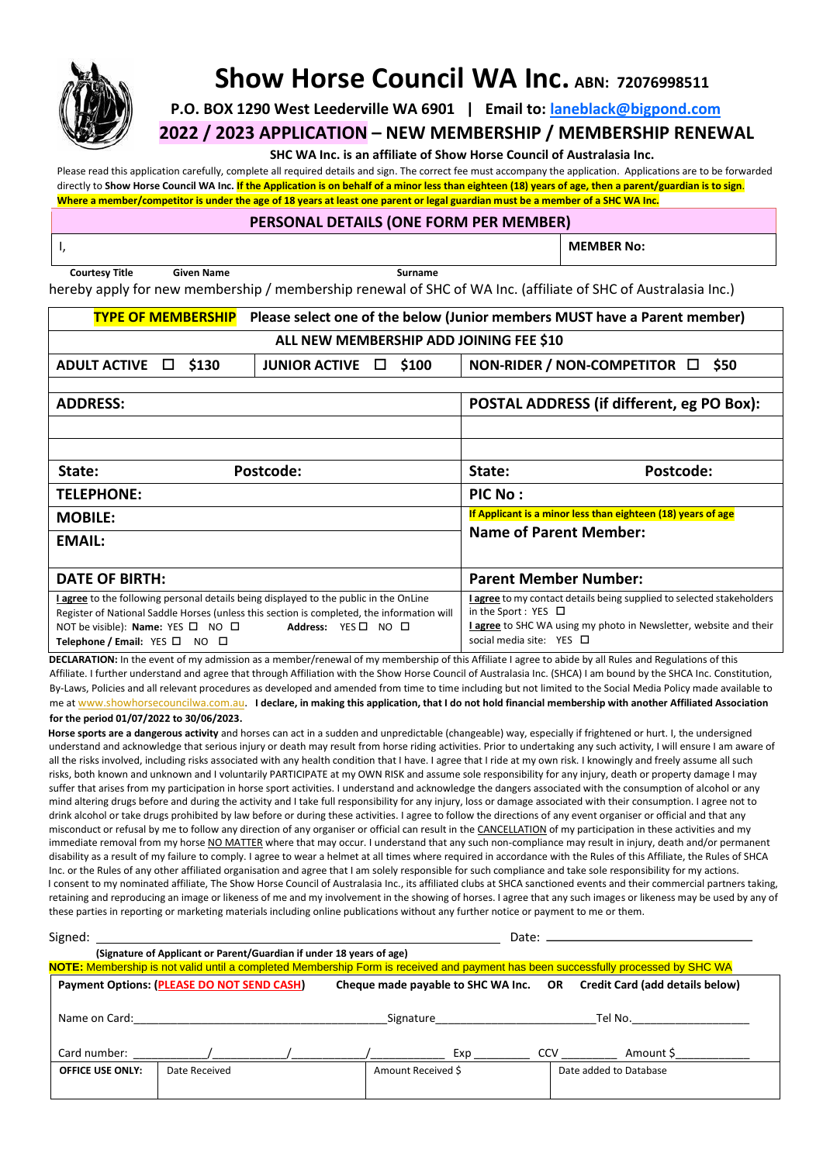

## **Show Horse Council WA Inc. ABN: 72076998511**

**P.O. BOX 1290 West Leederville WA 6901 | Email to: laneblack@bigpond.com**

**2022 / 2023 APPLICATION – NEW MEMBERSHIP / MEMBERSHIP RENEWAL**

**SHC WA Inc. is an affiliate of Show Horse Council of Australasia Inc.**

Please read this application carefully, complete all required details and sign. The correct fee must accompany the application. Applications are to be forwarded directly to **Show Horse Council WA Inc. If the Application is on behalf of a minor less than eighteen (18) years of age, then a parent/guardian is to sign**. **Where a member/competitor is under the age of 18 years at least one parent or legal guardian must be a member of a SHC WA Inc.**

## **PERSONAL DETAILS (ONE FORM PER MEMBER)**

I, **MEMBER No:** 

**Courtesy Title Given Name Surname** 

hereby apply for new membership / membership renewal of SHC of WA Inc. (affiliate of SHC of Australasia Inc.)

| <b>TYPE OF MEMBERSHIP</b>                                                                  |                      | Please select one of the below (Junior members MUST have a Parent member)                                                            |                              |  |  |  |  |
|--------------------------------------------------------------------------------------------|----------------------|--------------------------------------------------------------------------------------------------------------------------------------|------------------------------|--|--|--|--|
| ALL NEW MEMBERSHIP ADD JOINING FEE \$10                                                    |                      |                                                                                                                                      |                              |  |  |  |  |
| <b>ADULT ACTIVE</b><br>\$130<br>$\Box$                                                     | <b>JUNIOR ACTIVE</b> | NON-RIDER / NON-COMPETITOR $\Box$<br>\$50<br>$\Box$ \$100                                                                            |                              |  |  |  |  |
|                                                                                            |                      |                                                                                                                                      |                              |  |  |  |  |
| <b>ADDRESS:</b>                                                                            |                      | POSTAL ADDRESS (if different, eg PO Box):                                                                                            |                              |  |  |  |  |
|                                                                                            |                      |                                                                                                                                      |                              |  |  |  |  |
|                                                                                            |                      |                                                                                                                                      |                              |  |  |  |  |
| State:                                                                                     | Postcode:            | State:<br>Postcode:                                                                                                                  |                              |  |  |  |  |
| <b>TELEPHONE:</b>                                                                          |                      |                                                                                                                                      | PIC No:                      |  |  |  |  |
| <b>MOBILE:</b>                                                                             |                      | If Applicant is a minor less than eighteen (18) years of age                                                                         |                              |  |  |  |  |
| <b>EMAIL:</b>                                                                              |                      | <b>Name of Parent Member:</b>                                                                                                        |                              |  |  |  |  |
|                                                                                            |                      |                                                                                                                                      |                              |  |  |  |  |
| DATE OF BIRTH:                                                                             |                      |                                                                                                                                      | <b>Parent Member Number:</b> |  |  |  |  |
| I agree to the following personal details being displayed to the public in the OnLine      |                      | <b>lagree</b> to my contact details being supplied to selected stakeholders                                                          |                              |  |  |  |  |
| Register of National Saddle Horses (unless this section is completed, the information will |                      | in the Sport : YES $\Box$<br>I agree to SHC WA using my photo in Newsletter, website and their<br>social media site: $YES$ $\square$ |                              |  |  |  |  |
| NOT be visible): <b>Name:</b> YES $\Box$ NO $\Box$                                         | Address: YES□ NO □   |                                                                                                                                      |                              |  |  |  |  |
| Telephone / Email: $YES \Box NO \Box$                                                      |                      |                                                                                                                                      |                              |  |  |  |  |

**DECLARATION:** In the event of my admission as a member/renewal of my membership of this Affiliate I agree to abide by all Rules and Regulations of this Affiliate. I further understand and agree that through Affiliation with the Show Horse Council of Australasia Inc. (SHCA) I am bound by the SHCA Inc. Constitution, By-Laws, Policies and all relevant procedures as developed and amended from time to time including but not limited to the Social Media Policy made available to me at [www.showhorsecouncilwa.com.au.](http://www.showhorsecouncilwa.com.au/) **I declare, in making this application, that I do not hold financial membership with another Affiliated Association** 

## **for the period 01/07/2022 to 30/06/2023.**

**Horse sports are a dangerous activity** and horses can act in a sudden and unpredictable (changeable) way, especially if frightened or hurt. I, the undersigned understand and acknowledge that serious injury or death may result from horse riding activities. Prior to undertaking any such activity, I will ensure I am aware of all the risks involved, including risks associated with any health condition that I have. I agree that I ride at my own risk. I knowingly and freely assume all such risks, both known and unknown and I voluntarily PARTICIPATE at my OWN RISK and assume sole responsibility for any injury, death or property damage I may suffer that arises from my participation in horse sport activities. I understand and acknowledge the dangers associated with the consumption of alcohol or any mind altering drugs before and during the activity and I take full responsibility for any injury, loss or damage associated with their consumption. I agree not to drink alcohol or take drugs prohibited by law before or during these activities. I agree to follow the directions of any event organiser or official and that any misconduct or refusal by me to follow any direction of any organiser or official can result in the CANCELLATION of my participation in these activities and my immediate removal from my horse NO MATTER where that may occur. I understand that any such non-compliance may result in injury, death and/or permanent disability as a result of my failure to comply. I agree to wear a helmet at all times where required in accordance with the Rules of this Affiliate, the Rules of SHCA Inc. or the Rules of any other affiliated organisation and agree that I am solely responsible for such compliance and take sole responsibility for my actions. I consent to my nominated affiliate, The Show Horse Council of Australasia Inc., its affiliated clubs at SHCA sanctioned events and their commercial partners taking, retaining and reproducing an image or likeness of me and my involvement in the showing of horses. I agree that any such images or likeness may be used by any of these parties in reporting or marketing materials including online publications without any further notice or payment to me or them.

| Signed:                                                                                                                           | Date: $\equiv$                                                                                                            |  |           |                    |     |         |                        |  |  |  |
|-----------------------------------------------------------------------------------------------------------------------------------|---------------------------------------------------------------------------------------------------------------------------|--|-----------|--------------------|-----|---------|------------------------|--|--|--|
| (Signature of Applicant or Parent/Guardian if under 18 years of age)                                                              |                                                                                                                           |  |           |                    |     |         |                        |  |  |  |
| NOTE: Membership is not valid until a completed Membership Form is received and payment has been successfully processed by SHC WA |                                                                                                                           |  |           |                    |     |         |                        |  |  |  |
|                                                                                                                                   | Payment Options: (PLEASE DO NOT SEND CASH)<br>Cheque made payable to SHC WA Inc.    QR    Credit Card (add details below) |  |           |                    |     |         |                        |  |  |  |
| Name on Card:                                                                                                                     |                                                                                                                           |  | Signature |                    |     | Tel No. |                        |  |  |  |
| Card number:                                                                                                                      |                                                                                                                           |  |           | Exp                | CCV |         | Amount \$              |  |  |  |
| <b>OFFICE USE ONLY:</b>                                                                                                           | Date Received                                                                                                             |  |           | Amount Received \$ |     |         | Date added to Database |  |  |  |
|                                                                                                                                   |                                                                                                                           |  |           |                    |     |         |                        |  |  |  |